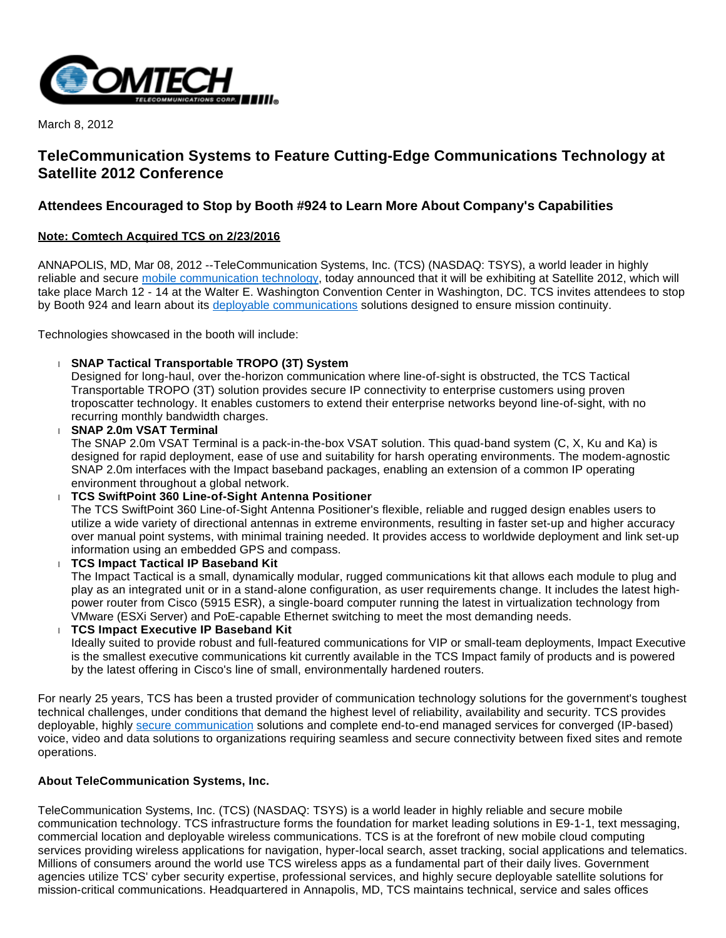

March 8, 2012

## **TeleCommunication Systems to Feature Cutting-Edge Communications Technology at Satellite 2012 Conference**

## **Attendees Encouraged to Stop by Booth #924 to Learn More About Company's Capabilities**

## **Note: Comtech Acquired TCS on 2/23/2016**

ANNAPOLIS, MD, Mar 08, 2012 --TeleCommunication Systems, Inc. (TCS) (NASDAQ: TSYS), a world leader in highly reliable and secure [mobile communication technology,](http://www.telecomsys.com/) today announced that it will be exhibiting at Satellite 2012, which will take place March 12 - 14 at the Walter E. Washington Convention Center in Washington, DC. TCS invites attendees to stop by Booth 924 and learn about its [deployable communications](http://www.telecomsys.com/products/deployable-coms/default.aspx) solutions designed to ensure mission continuity.

Technologies showcased in the booth will include:

**SNAP Tactical Transportable TROPO (3T) System**

Designed for long-haul, over the-horizon communication where line-of-sight is obstructed, the TCS Tactical Transportable TROPO (3T) solution provides secure IP connectivity to enterprise customers using proven troposcatter technology. It enables customers to extend their enterprise networks beyond line-of-sight, with no recurring monthly bandwidth charges.

 **SNAP 2.0m VSAT Terminal** The SNAP 2.0m VSAT Terminal is a pack-in-the-box VSAT solution. This quad-band system (C, X, Ku and Ka) is designed for rapid deployment, ease of use and suitability for harsh operating environments. The modem-agnostic SNAP 2.0m interfaces with the Impact baseband packages, enabling an extension of a common IP operating environment throughout a global network.

 **TCS SwiftPoint 360 Line-of-Sight Antenna Positioner** The TCS SwiftPoint 360 Line-of-Sight Antenna Positioner's flexible, reliable and rugged design enables users to utilize a wide variety of directional antennas in extreme environments, resulting in faster set-up and higher accuracy over manual point systems, with minimal training needed. It provides access to worldwide deployment and link set-up information using an embedded GPS and compass.

 **TCS Impact Tactical IP Baseband Kit** The Impact Tactical is a small, dynamically modular, rugged communications kit that allows each module to plug and play as an integrated unit or in a stand-alone configuration, as user requirements change. It includes the latest highpower router from Cisco (5915 ESR), a single-board computer running the latest in virtualization technology from VMware (ESXi Server) and PoE-capable Ethernet switching to meet the most demanding needs. **TCS Impact Executive IP Baseband Kit**

Ideally suited to provide robust and full-featured communications for VIP or small-team deployments, Impact Executive is the smallest executive communications kit currently available in the TCS Impact family of products and is powered by the latest offering in Cisco's line of small, environmentally hardened routers.

For nearly 25 years, TCS has been a trusted provider of communication technology solutions for the government's toughest technical challenges, under conditions that demand the highest level of reliability, availability and security. TCS provides deployable, highly [secure communication](http://www.telecomsys.com/markets/government/default.aspx) solutions and complete end-to-end managed services for converged (IP-based) voice, video and data solutions to organizations requiring seamless and secure connectivity between fixed sites and remote operations.

## **About TeleCommunication Systems, Inc.**

TeleCommunication Systems, Inc. (TCS) (NASDAQ: TSYS) is a world leader in highly reliable and secure mobile communication technology. TCS infrastructure forms the foundation for market leading solutions in E9-1-1, text messaging, commercial location and deployable wireless communications. TCS is at the forefront of new mobile cloud computing services providing wireless applications for navigation, hyper-local search, asset tracking, social applications and telematics. Millions of consumers around the world use TCS wireless apps as a fundamental part of their daily lives. Government agencies utilize TCS' cyber security expertise, professional services, and highly secure deployable satellite solutions for mission-critical communications. Headquartered in Annapolis, MD, TCS maintains technical, service and sales offices